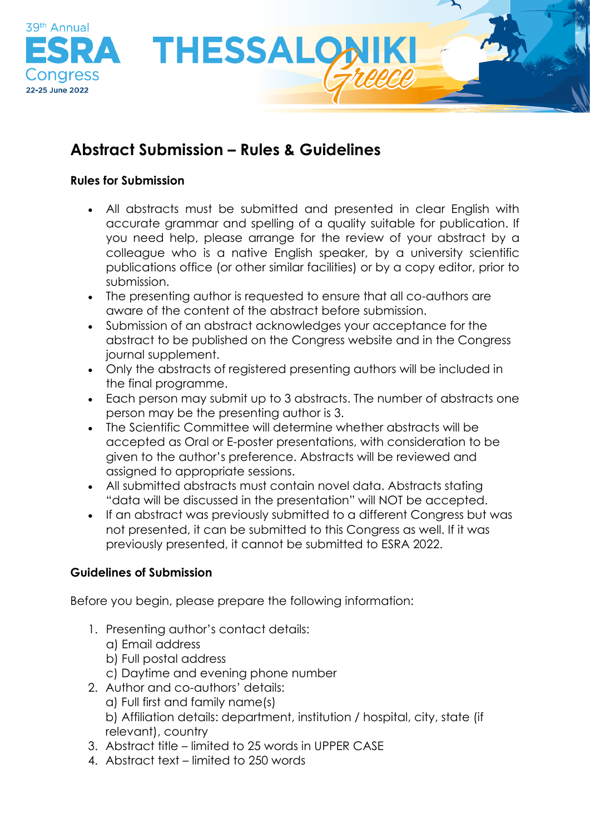

# **Abstract Submission – Rules & Guidelines**

### **Rules for Submission**

- All abstracts must be submitted and presented in clear English with accurate grammar and spelling of a quality suitable for publication. If you need help, please arrange for the review of your abstract by a colleague who is a native English speaker, by a university scientific publications office (or other similar facilities) or by a copy editor, prior to submission.
- The presenting author is requested to ensure that all co-authors are aware of the content of the abstract before submission.
- Submission of an abstract acknowledges your acceptance for the abstract to be published on the Congress website and in the Congress journal supplement.
- Only the abstracts of registered presenting authors will be included in the final programme.
- Each person may submit up to 3 abstracts. The number of abstracts one person may be the presenting author is 3.
- The Scientific Committee will determine whether abstracts will be accepted as Oral or E-poster presentations, with consideration to be given to the author's preference. Abstracts will be reviewed and assigned to appropriate sessions.
- All submitted abstracts must contain novel data. Abstracts stating "data will be discussed in the presentation" will NOT be accepted.
- If an abstract was previously submitted to a different Congress but was not presented, it can be submitted to this Congress as well. If it was previously presented, it cannot be submitted to ESRA 2022.

# **Guidelines of Submission**

Before you begin, please prepare the following information:

- 1. Presenting author's contact details:
	- a) Email address
	- b) Full postal address
	- c) Daytime and evening phone number
- 2. Author and co-authors' details:
	- a) Full first and family name(s)
	- b) Affiliation details: department, institution / hospital, city, state (if relevant), country
- 3. Abstract title limited to 25 words in UPPER CASE
- 4. Abstract text limited to 250 words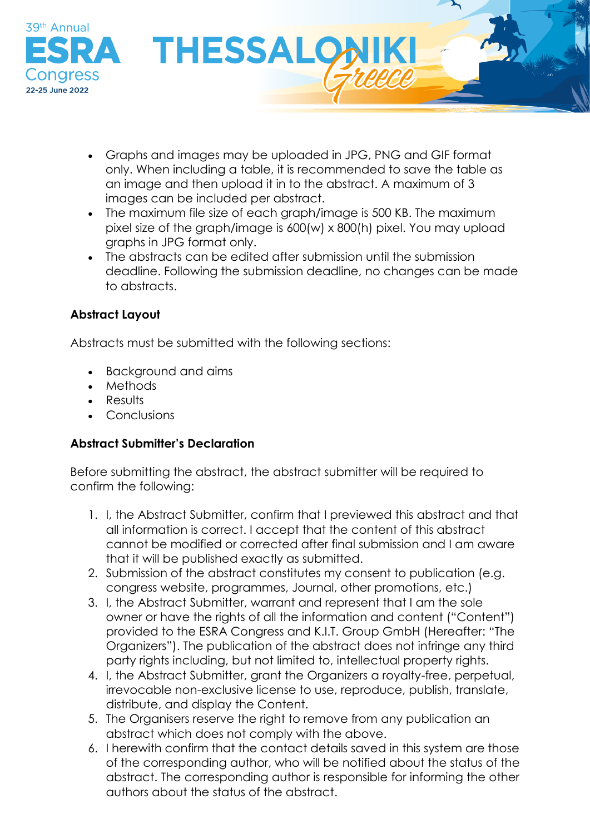

- Graphs and images may be uploaded in JPG, PNG and GIF format only. When including a table, it is recommended to save the table as an image and then upload it in to the abstract. A maximum of 3 images can be included per abstract.
- The maximum file size of each graph/image is 500 KB. The maximum pixel size of the graph/image is 600(w) x 800(h) pixel. You may upload graphs in JPG format only.
- The abstracts can be edited after submission until the submission deadline. Following the submission deadline, no changes can be made to abstracts.

# **Abstract Layout**

Abstracts must be submitted with the following sections:

- Background and aims
- Methods
- Results
- Conclusions

# **Abstract Submitter's Declaration**

Before submitting the abstract, the abstract submitter will be required to confirm the following:

- 1. I, the Abstract Submitter, confirm that I previewed this abstract and that all information is correct. I accept that the content of this abstract cannot be modified or corrected after final submission and I am aware that it will be published exactly as submitted.
- 2. Submission of the abstract constitutes my consent to publication (e.g. congress website, programmes, Journal, other promotions, etc.)
- 3. I, the Abstract Submitter, warrant and represent that I am the sole owner or have the rights of all the information and content ("Content") provided to the ESRA Congress and K.I.T. Group GmbH (Hereafter: "The Organizers"). The publication of the abstract does not infringe any third party rights including, but not limited to, intellectual property rights.
- 4. I, the Abstract Submitter, grant the Organizers a royalty-free, perpetual, irrevocable non-exclusive license to use, reproduce, publish, translate, distribute, and display the Content.
- 5. The Organisers reserve the right to remove from any publication an abstract which does not comply with the above.
- 6. I herewith confirm that the contact details saved in this system are those of the corresponding author, who will be notified about the status of the abstract. The corresponding author is responsible for informing the other authors about the status of the abstract.